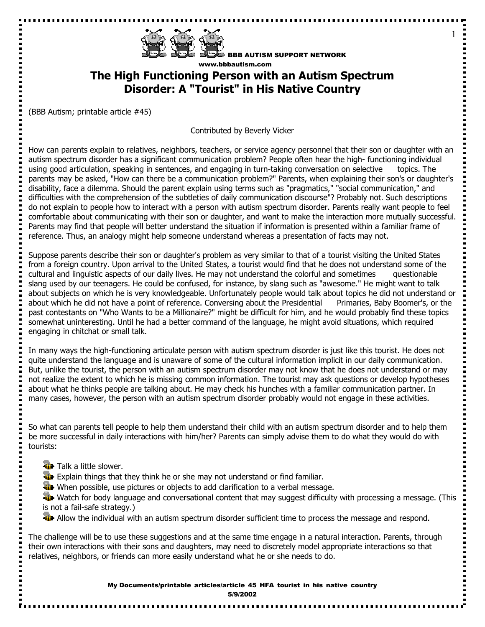

BBB AUTISM SUPPORT NETWORK www.bbbautism.com

1

----------------

## **The High Functioning Person with an Autism Spectrum Disorder: A "Tourist" in His Native Country**

(BBB Autism; printable article #45)

Contributed by Beverly Vicker

How can parents explain to relatives, neighbors, teachers, or service agency personnel that their son or daughter with an autism spectrum disorder has a significant communication problem? People often hear the high- functioning individual using good articulation, speaking in sentences, and engaging in turn-taking conversation on selective topics. The parents may be asked, "How can there be a communication problem?" Parents, when explaining their son's or daughter's disability, face a dilemma. Should the parent explain using terms such as "pragmatics," "social communication," and difficulties with the comprehension of the subtleties of daily communication discourse"? Probably not. Such descriptions do not explain to people how to interact with a person with autism spectrum disorder. Parents really want people to feel comfortable about communicating with their son or daughter, and want to make the interaction more mutually successful. Parents may find that people will better understand the situation if information is presented within a familiar frame of reference. Thus, an analogy might help someone understand whereas a presentation of facts may not.

Suppose parents describe their son or daughter's problem as very similar to that of a tourist visiting the United States from a foreign country. Upon arrival to the United States, a tourist would find that he does not understand some of the cultural and linguistic aspects of our daily lives. He may not understand the colorful and sometimes questionable slang used by our teenagers. He could be confused, for instance, by slang such as "awesome." He might want to talk about subjects on which he is very knowledgeable. Unfortunately people would talk about topics he did not understand or about which he did not have a point of reference. Conversing about the Presidential Primaries, Baby Boomer's, or the past contestants on "Who Wants to be a Millionaire?" might be difficult for him, and he would probably find these topics somewhat uninteresting. Until he had a better command of the language, he might avoid situations, which required engaging in chitchat or small talk.

In many ways the high-functioning articulate person with autism spectrum disorder is just like this tourist. He does not quite understand the language and is unaware of some of the cultural information implicit in our daily communication. But, unlike the tourist, the person with an autism spectrum disorder may not know that he does not understand or may not realize the extent to which he is missing common information. The tourist may ask questions or develop hypotheses about what he thinks people are talking about. He may check his hunches with a familiar communication partner. In many cases, however, the person with an autism spectrum disorder probably would not engage in these activities.

So what can parents tell people to help them understand their child with an autism spectrum disorder and to help them be more successful in daily interactions with him/her? Parents can simply advise them to do what they would do with tourists:

**Talk a little slower.** 

ä.

 $\frac{1}{2}$ 

- **Explain things that they think he or she may not understand or find familiar.**
- When possible, use pictures or objects to add clarification to a verbal message.

Watch for body language and conversational content that may suggest difficulty with processing a message. (This is not a fail-safe strategy.)

**Allow the individual with an autism spectrum disorder sufficient time to process the message and respond.** 

The challenge will be to use these suggestions and at the same time engage in a natural interaction. Parents, through their own interactions with their sons and daughters, may need to discretely model appropriate interactions so that relatives, neighbors, or friends can more easily understand what he or she needs to do.

> My Documents/printable\_articles/article\_45\_HFA\_tourist\_in\_his\_native\_country 5/9/2002